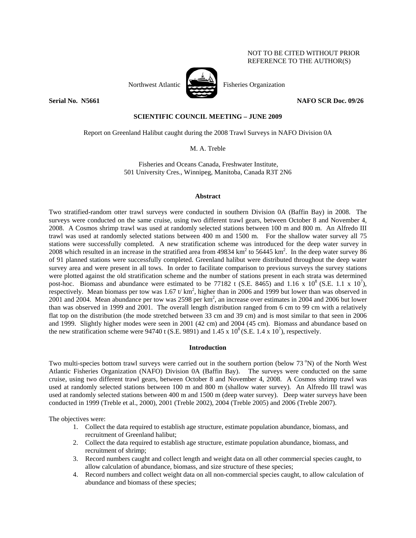# NOT TO BE CITED WITHOUT PRIOR REFERENCE TO THE AUTHOR(S)



Northwest Atlantic Fisheries Organization

**Serial No. 35661** NAFO SCR Doc. 09/26 **NAFO SCR Doc.** 09/26

# **SCIENTIFIC COUNCIL MEETING – JUNE 2009**

Report on Greenland Halibut caught during the 2008 Trawl Surveys in NAFO Division 0A

M. A. Treble

Fisheries and Oceans Canada, Freshwater Institute, 501 University Cres., Winnipeg, Manitoba, Canada R3T 2N6

#### **Abstract**

Two stratified-random otter trawl surveys were conducted in southern Division 0A (Baffin Bay) in 2008. The surveys were conducted on the same cruise, using two different trawl gears, between October 8 and November 4, 2008. A Cosmos shrimp trawl was used at randomly selected stations between 100 m and 800 m. An Alfredo III trawl was used at randomly selected stations between 400 m and 1500 m. For the shallow water survey all 75 stations were successfully completed. A new stratification scheme was introduced for the deep water survey in 2008 which resulted in an increase in the stratified area from  $49834 \text{ km}^2$  to  $56445 \text{ km}^2$ . In the deep water survey 86 of 91 planned stations were successfully completed. Greenland halibut were distributed throughout the deep water survey area and were present in all tows. In order to facilitate comparison to previous surveys the survey stations were plotted against the old stratification scheme and the number of stations present in each strata was determined post-hoc. Biomass and abundance were estimated to be 77182 t (S.E. 8465) and 1.16 x  $10^8$  (S.E. 1.1 x  $10^7$ ), respectively. Mean biomass per tow was  $1.67$  t/km<sup>2</sup>, higher than in 2006 and 1999 but lower than was observed in 2001 and 2004. Mean abundance per tow was 2598 per  $km^2$ , an increase over estimates in 2004 and 2006 but lower than was observed in 1999 and 2001. The overall length distribution ranged from 6 cm to 99 cm with a relatively flat top on the distribution (the mode stretched between 33 cm and 39 cm) and is most similar to that seen in 2006 and 1999. Slightly higher modes were seen in 2001 (42 cm) and 2004 (45 cm). Biomass and abundance based on the new stratification scheme were 94740 t (S.E. 9891) and  $1.45 \times 10^8$  (S.E. 1.4 x 10<sup>7</sup>), respectively.

#### **Introduction**

Two multi-species bottom trawl surveys were carried out in the southern portion (below  $73^{\circ}$ N) of the North West Atlantic Fisheries Organization (NAFO) Division 0A (Baffin Bay). The surveys were conducted on the same cruise, using two different trawl gears, between October 8 and November 4, 2008. A Cosmos shrimp trawl was used at randomly selected stations between 100 m and 800 m (shallow water survey). An Alfredo III trawl was used at randomly selected stations between 400 m and 1500 m (deep water survey). Deep water surveys have been conducted in 1999 (Treble et al., 2000), 2001 (Treble 2002), 2004 (Treble 2005) and 2006 (Treble 2007).

The objectives were:

- 1. Collect the data required to establish age structure, estimate population abundance, biomass, and recruitment of Greenland halibut;
- 2. Collect the data required to establish age structure, estimate population abundance, biomass, and recruitment of shrimp;
- 3. Record numbers caught and collect length and weight data on all other commercial species caught, to allow calculation of abundance, biomass, and size structure of these species;
- 4. Record numbers and collect weight data on all non-commercial species caught, to allow calculation of abundance and biomass of these species;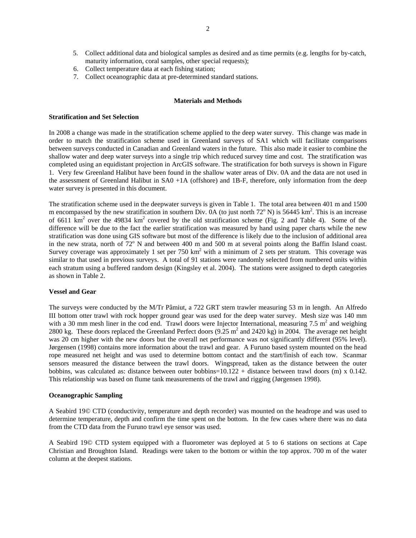- 5. Collect additional data and biological samples as desired and as time permits (e.g. lengths for by-catch, maturity information, coral samples, other special requests);
- 6. Collect temperature data at each fishing station;
- 7. Collect oceanographic data at pre-determined standard stations.

# **Materials and Methods**

# **Stratification and Set Selection**

In 2008 a change was made in the stratification scheme applied to the deep water survey. This change was made in order to match the stratification scheme used in Greenland surveys of SA1 which will facilitate comparisons between surveys conducted in Canadian and Greenland waters in the future. This also made it easier to combine the shallow water and deep water surveys into a single trip which reduced survey time and cost. The stratification was completed using an equidistant projection in ArcGIS software. The stratification for both surveys is shown in Figure 1. Very few Greenland Halibut have been found in the shallow water areas of Div. 0A and the data are not used in the assessment of Greenland Halibut in SA0 +1A (offshore) and 1B-F, therefore, only information from the deep water survey is presented in this document.

The stratification scheme used in the deepwater surveys is given in Table 1. The total area between 401 m and 1500 m encompassed by the new stratification in southern Div.  $0A$  (to just north  $72^{\circ}$  N) is 56445 km<sup>2</sup>. This is an increase of 6611  $km^2$  over the 49834  $km^2$  covered by the old stratification scheme (Fig. 2 and Table 4). Some of the difference will be due to the fact the earlier stratification was measured by hand using paper charts while the new stratification was done using GIS software but most of the difference is likely due to the inclusion of additional area in the new strata, north of  $72^{\circ}$  N and between 400 m and 500 m at several points along the Baffin Island coast. Survey coverage was approximately 1 set per 750 km<sup>2</sup> with a minimum of 2 sets per stratum. This coverage was similar to that used in previous surveys. A total of 91 stations were randomly selected from numbered units within each stratum using a buffered random design (Kingsley et al. 2004). The stations were assigned to depth categories as shown in Table 2.

### **Vessel and Gear**

The surveys were conducted by the M/Tr Pâmiut, a 722 GRT stern trawler measuring 53 m in length. An Alfredo III bottom otter trawl with rock hopper ground gear was used for the deep water survey. Mesh size was 140 mm with a 30 mm mesh liner in the cod end. Trawl doors were Injector International, measuring 7.5  $m^2$  and weighing 2800 kg. These doors replaced the Greenland Perfect doors  $(9.25 \text{ m}^2 \text{ and } 2420 \text{ kg})$  in 2004. The average net height was 20 cm higher with the new doors but the overall net performance was not significantly different (95% level). Jørgensen (1998) contains more information about the trawl and gear. A Furuno based system mounted on the head rope measured net height and was used to determine bottom contact and the start/finish of each tow. Scanmar sensors measured the distance between the trawl doors. Wingspread, taken as the distance between the outer bobbins, was calculated as: distance between outer bobbins= $10.122 +$  distance between trawl doors (m) x 0.142. This relationship was based on flume tank measurements of the trawl and rigging (Jørgensen 1998).

#### **Oceanographic Sampling**

A Seabird 19© CTD (conductivity, temperature and depth recorder) was mounted on the headrope and was used to determine temperature, depth and confirm the time spent on the bottom. In the few cases where there was no data from the CTD data from the Furuno trawl eye sensor was used.

A Seabird 19© CTD system equipped with a fluorometer was deployed at 5 to 6 stations on sections at Cape Christian and Broughton Island. Readings were taken to the bottom or within the top approx. 700 m of the water column at the deepest stations.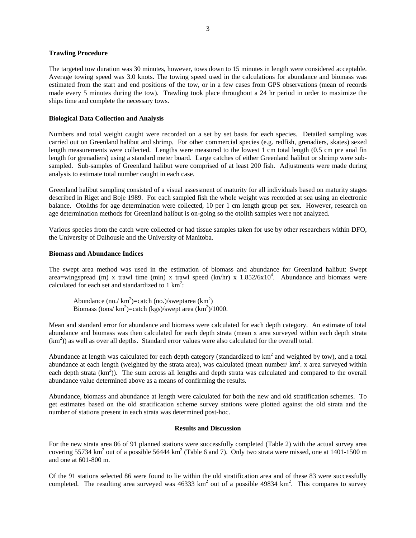## **Trawling Procedure**

The targeted tow duration was 30 minutes, however, tows down to 15 minutes in length were considered acceptable. Average towing speed was 3.0 knots. The towing speed used in the calculations for abundance and biomass was estimated from the start and end positions of the tow, or in a few cases from GPS observations (mean of records made every 5 minutes during the tow). Trawling took place throughout a 24 hr period in order to maximize the ships time and complete the necessary tows.

## **Biological Data Collection and Analysis**

Numbers and total weight caught were recorded on a set by set basis for each species. Detailed sampling was carried out on Greenland halibut and shrimp. For other commercial species (e.g. redfish, grenadiers, skates) sexed length measurements were collected. Lengths were measured to the lowest 1 cm total length (0.5 cm pre anal fin length for grenadiers) using a standard meter board. Large catches of either Greenland halibut or shrimp were subsampled. Sub-samples of Greenland halibut were comprised of at least 200 fish. Adjustments were made during analysis to estimate total number caught in each case.

Greenland halibut sampling consisted of a visual assessment of maturity for all individuals based on maturity stages described in Riget and Boje 1989. For each sampled fish the whole weight was recorded at sea using an electronic balance. Otoliths for age determination were collected, 10 per 1 cm length group per sex. However, research on age determination methods for Greenland halibut is on-going so the otolith samples were not analyzed.

Various species from the catch were collected or had tissue samples taken for use by other researchers within DFO, the University of Dalhousie and the University of Manitoba.

# **Biomass and Abundance Indices**

The swept area method was used in the estimation of biomass and abundance for Greenland halibut: Swept area=wingspread (m) x trawl time (min) x trawl speed (kn/hr) x  $1.852/6x10^4$ . Abundance and biomass were calculated for each set and standardized to  $1 \text{ km}^2$ :

Abundance (no./ $km^2$ )=catch (no.)/sweptarea ( $km^2$ ) Biomass (tons/ $km^2$ )=catch (kgs)/swept area (km<sup>2</sup>)/1000.

Mean and standard error for abundance and biomass were calculated for each depth category. An estimate of total abundance and biomass was then calculated for each depth strata (mean x area surveyed within each depth strata  $(km<sup>2</sup>)$ ) as well as over all depths. Standard error values were also calculated for the overall total.

Abundance at length was calculated for each depth category (standardized to  $km<sup>2</sup>$  and weighted by tow), and a total abundance at each length (weighted by the strata area), was calculated (mean number/ $km^2$ . x area surveyed within each depth strata  $(km^2)$ ). The sum across all lengths and depth strata was calculated and compared to the overall abundance value determined above as a means of confirming the results.

Abundance, biomass and abundance at length were calculated for both the new and old stratification schemes. To get estimates based on the old stratification scheme survey stations were plotted against the old strata and the number of stations present in each strata was determined post-hoc.

### **Results and Discussion**

For the new strata area 86 of 91 planned stations were successfully completed (Table 2) with the actual survey area covering 55734 km<sup>2</sup> out of a possible 56444 km<sup>2</sup> (Table 6 and 7). Only two strata were missed, one at 1401-1500 m and one at 601-800 m.

Of the 91 stations selected 86 were found to lie within the old stratification area and of these 83 were successfully completed. The resulting area surveyed was  $46333 \text{ km}^2$  out of a possible 49834 km<sup>2</sup>. This compares to survey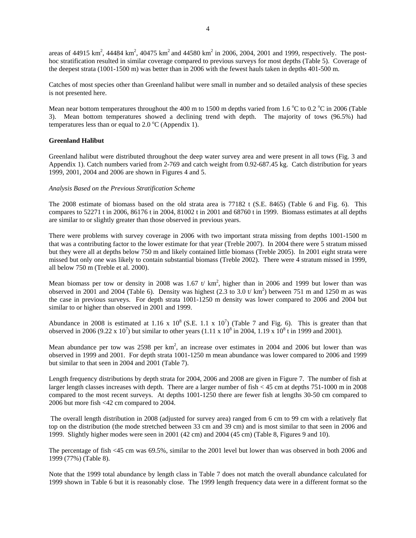areas of 44915 km<sup>2</sup>, 44484 km<sup>2</sup>, 40475 km<sup>2</sup> and 44580 km<sup>2</sup> in 2006, 2004, 2001 and 1999, respectively. The posthoc stratification resulted in similar coverage compared to previous surveys for most depths (Table 5). Coverage of the deepest strata (1001-1500 m) was better than in 2006 with the fewest hauls taken in depths 401-500 m.

Catches of most species other than Greenland halibut were small in number and so detailed analysis of these species is not presented here.

Mean near bottom temperatures throughout the 400 m to 1500 m depths varied from 1.6  $\rm{°C}$  to 0.2  $\rm{°C}$  in 2006 (Table 3). Mean bottom temperatures showed a declining trend with depth. The majority of tows (96.5%) had temperatures less than or equal to  $2.0\text{ °C}$  (Appendix 1).

# **Greenland Halibut**

Greenland halibut were distributed throughout the deep water survey area and were present in all tows (Fig. 3 and Appendix 1). Catch numbers varied from 2-769 and catch weight from 0.92-687.45 kg. Catch distribution for years 1999, 2001, 2004 and 2006 are shown in Figures 4 and 5.

# *Analysis Based on the Previous Stratification Scheme*

The 2008 estimate of biomass based on the old strata area is 77182 t (S.E. 8465) (Table 6 and Fig. 6). This compares to 52271 t in 2006, 86176 t in 2004, 81002 t in 2001 and 68760 t in 1999. Biomass estimates at all depths are similar to or slightly greater than those observed in previous years.

There were problems with survey coverage in 2006 with two important strata missing from depths 1001-1500 m that was a contributing factor to the lower estimate for that year (Treble 2007). In 2004 there were 5 stratum missed but they were all at depths below 750 m and likely contained little biomass (Treble 2005). In 2001 eight strata were missed but only one was likely to contain substantial biomass (Treble 2002). There were 4 stratum missed in 1999, all below 750 m (Treble et al. 2000).

Mean biomass per tow or density in 2008 was 1.67 t/  $km^2$ , higher than in 2006 and 1999 but lower than was observed in 2001 and 2004 (Table 6). Density was highest  $(2.3 \text{ to } 3.0 \text{ t/m}^2)$  between 751 m and 1250 m as was the case in previous surveys. For depth strata 1001-1250 m density was lower compared to 2006 and 2004 but similar to or higher than observed in 2001 and 1999.

Abundance in 2008 is estimated at 1.16 x  $10^8$  (S.E. 1.1 x  $10^7$ ) (Table 7 and Fig. 6). This is greater than that observed in 2006 (9.22 x 10<sup>7</sup>) but similar to other years (1.11 x 10<sup>8</sup> in 2004, 1.19 x 10<sup>8</sup> t in 1999 and 2001).

Mean abundance per tow was 2598 per  $km^2$ , an increase over estimates in 2004 and 2006 but lower than was observed in 1999 and 2001. For depth strata 1001-1250 m mean abundance was lower compared to 2006 and 1999 but similar to that seen in 2004 and 2001 (Table 7).

Length frequency distributions by depth strata for 2004, 2006 and 2008 are given in Figure 7. The number of fish at larger length classes increases with depth. There are a larger number of fish < 45 cm at depths 751-1000 m in 2008 compared to the most recent surveys. At depths 1001-1250 there are fewer fish at lengths 30-50 cm compared to 2006 but more fish <42 cm compared to 2004.

 The overall length distribution in 2008 (adjusted for survey area) ranged from 6 cm to 99 cm with a relatively flat top on the distribution (the mode stretched between 33 cm and 39 cm) and is most similar to that seen in 2006 and 1999. Slightly higher modes were seen in 2001 (42 cm) and 2004 (45 cm) (Table 8, Figures 9 and 10).

The percentage of fish <45 cm was 69.5%, similar to the 2001 level but lower than was observed in both 2006 and 1999 (77%) (Table 8).

Note that the 1999 total abundance by length class in Table 7 does not match the overall abundance calculated for 1999 shown in Table 6 but it is reasonably close. The 1999 length frequency data were in a different format so the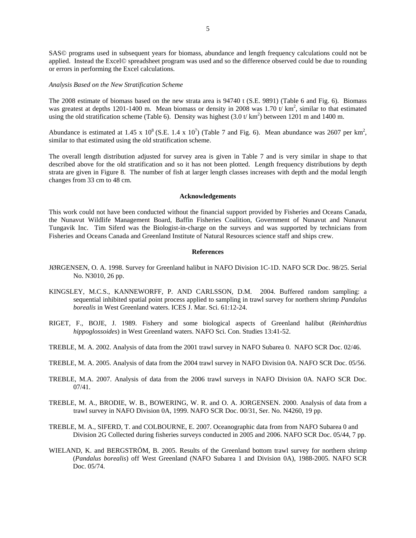SAS© programs used in subsequent years for biomass, abundance and length frequency calculations could not be applied. Instead the Excel© spreadsheet program was used and so the difference observed could be due to rounding or errors in performing the Excel calculations.

#### *Analysis Based on the New Stratification Scheme*

The 2008 estimate of biomass based on the new strata area is 94740 t (S.E. 9891) (Table 6 and Fig. 6). Biomass was greatest at depths 1201-1400 m. Mean biomass or density in 2008 was 1.70 t/ $km^2$ , similar to that estimated using the old stratification scheme (Table 6). Density was highest  $(3.0 \text{ t/km}^2)$  between 1201 m and 1400 m.

Abundance is estimated at 1.45 x  $10^8$  (S.E. 1.4 x  $10^7$ ) (Table 7 and Fig. 6). Mean abundance was 2607 per km<sup>2</sup>, similar to that estimated using the old stratification scheme.

The overall length distribution adjusted for survey area is given in Table 7 and is very similar in shape to that described above for the old stratification and so it has not been plotted. Length frequency distributions by depth strata are given in Figure 8. The number of fish at larger length classes increases with depth and the modal length changes from 33 cm to 48 cm.

#### **Acknowledgements**

This work could not have been conducted without the financial support provided by Fisheries and Oceans Canada, the Nunavut Wildlife Management Board, Baffin Fisheries Coalition, Government of Nunavut and Nunavut Tungavik Inc. Tim Siferd was the Biologist-in-charge on the surveys and was supported by technicians from Fisheries and Oceans Canada and Greenland Institute of Natural Resources science staff and ships crew.

### **References**

- JØRGENSEN, O. A. 1998. Survey for Greenland halibut in NAFO Division 1C-1D. NAFO SCR Doc. 98/25. Serial No. N3010, 26 pp.
- KINGSLEY, M.C.S., KANNEWORFF, P. AND CARLSSON, D.M. 2004. Buffered random sampling: a sequential inhibited spatial point process applied to sampling in trawl survey for northern shrimp *Pandalus borealis* in West Greenland waters. ICES J. Mar. Sci. 61:12-24.
- RIGET, F., BOJE, J. 1989. Fishery and some biological aspects of Greenland halibut (*Reinhardtius hippoglossoides*) in West Greenland waters. NAFO Sci. Con. Studies 13:41-52.
- TREBLE, M. A. 2002. Analysis of data from the 2001 trawl survey in NAFO Subarea 0. NAFO SCR Doc. 02/46.
- TREBLE, M. A. 2005. Analysis of data from the 2004 trawl survey in NAFO Division 0A. NAFO SCR Doc. 05/56.
- TREBLE, M.A. 2007. Analysis of data from the 2006 trawl surveys in NAFO Division 0A. NAFO SCR Doc. 07/41.
- TREBLE, M. A., BRODIE, W. B., BOWERING, W. R. and O. A. JORGENSEN. 2000. Analysis of data from a trawl survey in NAFO Division 0A, 1999. NAFO SCR Doc. 00/31, Ser. No. N4260, 19 pp.
- TREBLE, M. A., SIFERD, T. and COLBOURNE, E. 2007. Oceanographic data from from NAFO Subarea 0 and Division 2G Collected during fisheries surveys conducted in 2005 and 2006. NAFO SCR Doc. 05/44, 7 pp.
- WIELAND, K. and BERGSTRÖM, B. 2005. Results of the Greenland bottom trawl survey for northern shrimp (*Pandalus borealis*) off West Greenland (NAFO Subarea 1 and Division 0A), 1988-2005. NAFO SCR Doc. 05/74.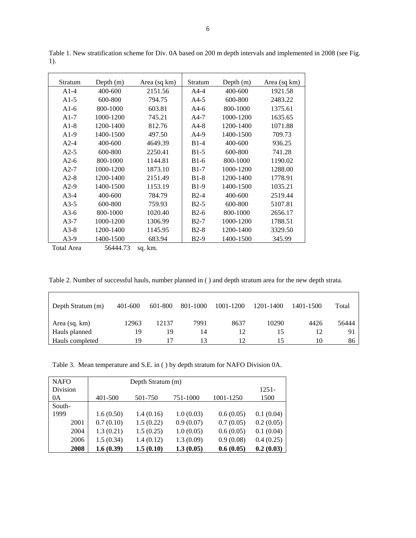| Stratum | Depth $(m)$ | Area (sq km) | Stratum | Depth $(m)$ | Area (sq km) |
|---------|-------------|--------------|---------|-------------|--------------|
| $A1-4$  | 400-600     | 2151.56      | $A4-4$  | 400-600     | 1921.58      |
| $A1-5$  | 600-800     | 794.75       | $A4-5$  | 600-800     | 2483.22      |
| $A1-6$  | 800-1000    | 603.81       | $A4-6$  | 800-1000    | 1375.61      |
| $A1-7$  | 1000-1200   | 745.21       | $A4-7$  | 1000-1200   | 1635.65      |
| $A1-8$  | 1200-1400   | 812.76       | $A4-8$  | 1200-1400   | 1071.88      |
| $A1-9$  | 1400-1500   | 497.50       | $A4-9$  | 1400-1500   | 709.73       |
| $A2-4$  | 400-600     | 4649.39      | $B1-4$  | 400-600     | 936.25       |
| $A2-5$  | 600-800     | 2250.41      | $B1-5$  | 600-800     | 741.28       |
| $A2-6$  | 800-1000    | 1144.81      | $B1-6$  | 800-1000    | 1190.02      |
| $A2-7$  | 1000-1200   | 1873.10      | $B1-7$  | 1000-1200   | 1288.00      |
| $A2-8$  | 1200-1400   | 2151.49      | $B1-8$  | 1200-1400   | 1778.91      |
| $A2-9$  | 1400-1500   | 1153.19      | $B1-9$  | 1400-1500   | 1035.21      |
| $A3-4$  | 400-600     | 784.79       | $B2-4$  | 400-600     | 2519.44      |
| $A3-5$  | 600-800     | 759.93       | $B2-5$  | 600-800     | 5107.81      |
| $A3-6$  | 800-1000    | 1020.40      | $B2-6$  | 800-1000    | 2656.17      |
| $A3-7$  | 1000-1200   | 1306.99      | $B2-7$  | 1000-1200   | 1788.51      |
| $A3-8$  | 1200-1400   | 1145.95      | $B2-8$  | 1200-1400   | 3329.50      |
| $A3-9$  | 1400-1500   | 683.94       | $B2-9$  | 1400-1500   | 345.99       |

Table 1. New stratification scheme for Div. 0A based on 200 m depth intervals and implemented in 2008 (see Fig. 1).

Total Area 56444.73 sq. km.

Table 2. Number of successful hauls, number planned in ( ) and depth stratum area for the new depth strata.

| Depth Stratum (m) | 401-600 | 601-800 | 801-1000 | 1001-1200 | 1201-1400 | 1401-1500 | Total |
|-------------------|---------|---------|----------|-----------|-----------|-----------|-------|
| Area (sq. km)     | 12963   | 12137   | 7991     | 8637      | 10290     | 4426      | 56444 |
| Hauls planned     | 19      | 19      | 14       |           | 15        |           | 91    |
| Hauls completed   | 19      |         | 13       |           | 15        | 10        | 86    |

Table 3. Mean temperature and S.E. in ( ) by depth stratum for NAFO Division 0A.

| <b>NAFO</b> |           | Depth Stratum (m) |           |           |           |  |  |  |  |  |
|-------------|-----------|-------------------|-----------|-----------|-----------|--|--|--|--|--|
| Division    |           |                   |           |           | 1251-     |  |  |  |  |  |
| 0A          | 401-500   | 501-750           | 751-1000  | 1001-1250 | 1500      |  |  |  |  |  |
| South-      |           |                   |           |           |           |  |  |  |  |  |
| 1999        | 1.6(0.50) | 1.4(0.16)         | 1.0(0.03) | 0.6(0.05) | 0.1(0.04) |  |  |  |  |  |
| 2001        | 0.7(0.10) | 1.5(0.22)         | 0.9(0.07) | 0.7(0.05) | 0.2(0.05) |  |  |  |  |  |
| 2004        | 1.3(0.21) | 1.5(0.25)         | 1.0(0.05) | 0.6(0.05) | 0.1(0.04) |  |  |  |  |  |
| 2006        | 1.5(0.34) | 1.4(0.12)         | 1.3(0.09) | 0.9(0.08) | 0.4(0.25) |  |  |  |  |  |
| 2008        | 1.6(0.39) | 1.5(0.10)         | 1.3(0.05) | 0.6(0.05) | 0.2(0.03) |  |  |  |  |  |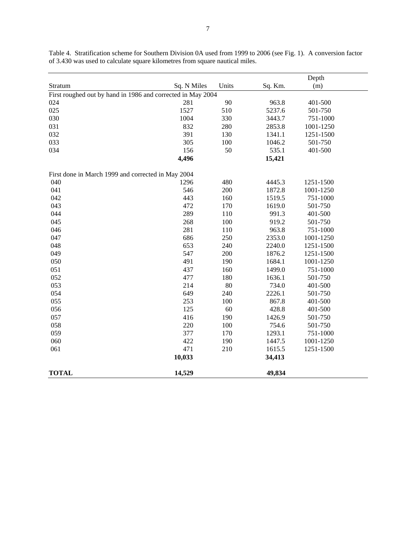|                                                             |             |       |         | Depth     |
|-------------------------------------------------------------|-------------|-------|---------|-----------|
| Stratum                                                     | Sq. N Miles | Units | Sq. Km. | (m)       |
| First roughed out by hand in 1986 and corrected in May 2004 |             |       |         |           |
| 024                                                         | 281         | 90    | 963.8   | 401-500   |
| 025                                                         | 1527        | 510   | 5237.6  | 501-750   |
| 030                                                         | 1004        | 330   | 3443.7  | 751-1000  |
| 031                                                         | 832         | 280   | 2853.8  | 1001-1250 |
| 032                                                         | 391         | 130   | 1341.1  | 1251-1500 |
| 033                                                         | 305         | 100   | 1046.2  | 501-750   |
| 034                                                         | 156         | 50    | 535.1   | 401-500   |
|                                                             | 4,496       |       | 15,421  |           |
| First done in March 1999 and corrected in May 2004          |             |       |         |           |
| 040                                                         | 1296        | 480   | 4445.3  | 1251-1500 |
| 041                                                         | 546         | 200   | 1872.8  | 1001-1250 |
| 042                                                         | 443         | 160   | 1519.5  | 751-1000  |
| 043                                                         | 472         | 170   | 1619.0  | 501-750   |
| 044                                                         | 289         | 110   | 991.3   | 401-500   |
| 045                                                         | 268         | 100   | 919.2   | 501-750   |
| 046                                                         | 281         | 110   | 963.8   | 751-1000  |
| 047                                                         | 686         | 250   | 2353.0  | 1001-1250 |
| 048                                                         | 653         | 240   | 2240.0  | 1251-1500 |
| 049                                                         | 547         | 200   | 1876.2  | 1251-1500 |
| 050                                                         | 491         | 190   | 1684.1  | 1001-1250 |
| 051                                                         | 437         | 160   | 1499.0  | 751-1000  |
| 052                                                         | 477         | 180   | 1636.1  | 501-750   |
| 053                                                         | 214         | 80    | 734.0   | 401-500   |
| 054                                                         | 649         | 240   | 2226.1  | 501-750   |
| 055                                                         | 253         | 100   | 867.8   | 401-500   |
| 056                                                         | 125         | 60    | 428.8   | 401-500   |
| 057                                                         | 416         | 190   | 1426.9  | 501-750   |
| 058                                                         | 220         | 100   | 754.6   | 501-750   |
| 059                                                         | 377         | 170   | 1293.1  | 751-1000  |
| 060                                                         | 422         | 190   | 1447.5  | 1001-1250 |
| 061                                                         | 471         | 210   | 1615.5  | 1251-1500 |
|                                                             | 10,033      |       | 34,413  |           |
| <b>TOTAL</b>                                                | 14,529      |       | 49,834  |           |

Table 4. Stratification scheme for Southern Division 0A used from 1999 to 2006 (see Fig. 1). A conversion factor of 3.430 was used to calculate square kilometres from square nautical miles.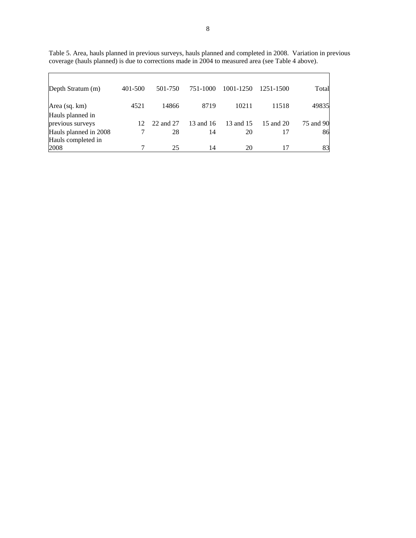| Depth Stratum (m)                           | 401-500         | 501-750   | 751-1000  | 1001-1250 | 1251-1500 | Total     |
|---------------------------------------------|-----------------|-----------|-----------|-----------|-----------|-----------|
| Area (sq. km)                               | 4521            | 14866     | 8719      | 10211     | 11518     | 49835     |
| Hauls planned in<br>previous surveys        | 12 <sub>1</sub> | 22 and 27 | 13 and 16 | 13 and 15 | 15 and 20 | 75 and 90 |
| Hauls planned in 2008<br>Hauls completed in |                 | 28        | 14        | 20        | 17        | 86        |
| 2008                                        |                 | 25        | 14        | 20        |           | 83        |

Table 5. Area, hauls planned in previous surveys, hauls planned and completed in 2008. Variation in previous coverage (hauls planned) is due to corrections made in 2004 to measured area (see Table 4 above).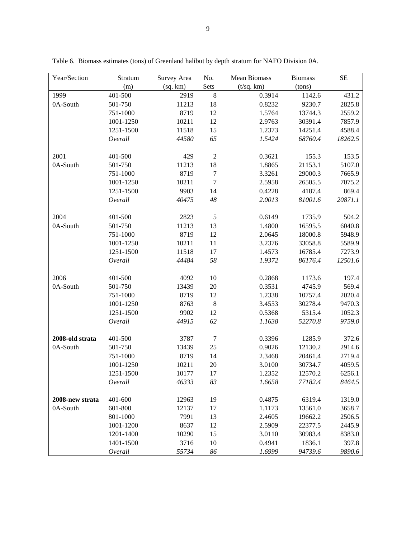| Year/Section    | Stratum   | Survey Area | No.              | Mean Biomass | <b>Biomass</b> | <b>SE</b> |
|-----------------|-----------|-------------|------------------|--------------|----------------|-----------|
|                 | (m)       | (sq. km)    | Sets             | (t/sq. km)   | (tons)         |           |
| 1999            | 401-500   | 2919        | $\,8\,$          | 0.3914       | 1142.6         | 431.2     |
| 0A-South        | 501-750   | 11213       | 18               | 0.8232       | 9230.7         | 2825.8    |
|                 | 751-1000  | 8719        | 12               | 1.5764       | 13744.3        | 2559.2    |
|                 | 1001-1250 | 10211       | 12               | 2.9763       | 30391.4        | 7857.9    |
|                 | 1251-1500 | 11518       | 15               | 1.2373       | 14251.4        | 4588.4    |
|                 | Overall   | 44580       | 65               | 1.5424       | 68760.4        | 18262.5   |
| 2001            | 401-500   | 429         | $\boldsymbol{2}$ | 0.3621       | 155.3          | 153.5     |
| 0A-South        | 501-750   | 11213       | 18               | 1.8865       | 21153.1        | 5107.0    |
|                 | 751-1000  | 8719        | $\boldsymbol{7}$ | 3.3261       | 29000.3        | 7665.9    |
|                 | 1001-1250 | 10211       | $\overline{7}$   | 2.5958       | 26505.5        | 7075.2    |
|                 | 1251-1500 | 9903        | 14               | 0.4228       | 4187.4         | 869.4     |
|                 | Overall   | 40475       | $48\,$           | 2.0013       | 81001.6        | 20871.1   |
| 2004            | 401-500   | 2823        | $\sqrt{5}$       | 0.6149       | 1735.9         | 504.2     |
| 0A-South        | 501-750   | 11213       | 13               | 1.4800       | 16595.5        | 6040.8    |
|                 | 751-1000  | 8719        | 12               | 2.0645       | 18000.8        | 5948.9    |
|                 | 1001-1250 | 10211       | 11               | 3.2376       | 33058.8        | 5589.9    |
|                 | 1251-1500 | 11518       | 17               | 1.4573       | 16785.4        | 7273.9    |
|                 | Overall   | 44484       | 58               | 1.9372       | 86176.4        | 12501.6   |
| 2006            | 401-500   | 4092        | 10               | 0.2868       | 1173.6         | 197.4     |
| 0A-South        | 501-750   | 13439       | 20               | 0.3531       | 4745.9         | 569.4     |
|                 | 751-1000  | 8719        | 12               | 1.2338       | 10757.4        | 2020.4    |
|                 | 1001-1250 | 8763        | $\,8\,$          | 3.4553       | 30278.4        | 9470.3    |
|                 | 1251-1500 | 9902        | 12               | 0.5368       | 5315.4         | 1052.3    |
|                 | Overall   | 44915       | 62               | 1.1638       | 52270.8        | 9759.0    |
| 2008-old strata | 401-500   | 3787        | $\overline{7}$   | 0.3396       | 1285.9         | 372.6     |
| 0A-South        | 501-750   | 13439       | 25               | 0.9026       | 12130.2        | 2914.6    |
|                 | 751-1000  | 8719        | 14               | 2.3468       | 20461.4        | 2719.4    |
|                 | 1001-1250 | 10211       | $20\,$           | 3.0100       | 30734.7        | 4059.5    |
|                 | 1251-1500 | 10177       | 17               | 1.2352       | 12570.2        | 6256.1    |
|                 | Overall   | 46333       | 83               | 1.6658       | 77182.4        | 8464.5    |
| 2008-new strata | 401-600   | 12963       | 19               | 0.4875       | 6319.4         | 1319.0    |
| 0A-South        | 601-800   | 12137       | 17               | 1.1173       | 13561.0        | 3658.7    |
|                 | 801-1000  | 7991        | 13               | 2.4605       | 19662.2        | 2506.5    |
|                 | 1001-1200 | 8637        | 12               | 2.5909       | 22377.5        | 2445.9    |
|                 | 1201-1400 | 10290       | 15               | 3.0110       | 30983.4        | 8383.0    |
|                 | 1401-1500 | 3716        | 10               | 0.4941       | 1836.1         | 397.8     |
|                 | Overall   | 55734       | 86               | 1.6999       | 94739.6        | 9890.6    |

Table 6. Biomass estimates (tons) of Greenland halibut by depth stratum for NAFO Division 0A.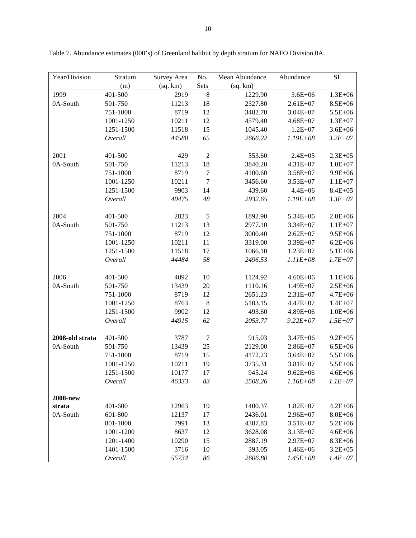| Year/Division   | Stratum   | Survey Area | No.           | Mean Abundance | Abundance     | SE           |
|-----------------|-----------|-------------|---------------|----------------|---------------|--------------|
|                 | (m)       | (sq. km)    | Sets          | (sq. km)       |               |              |
| 1999            | 401-500   | 2919        | $\bf 8$       | 1229.90        | $3.6E + 06$   | $1.3E + 06$  |
| 0A-South        | 501-750   | 11213       | 18            | 2327.80        | $2.61E+07$    | $8.5E + 06$  |
|                 | 751-1000  | 8719        | 12            | 3482.70        | $3.04E + 07$  | 5.5E+06      |
|                 | 1001-1250 | 10211       | 12            | 4579.40        | $4.68E + 07$  | $1.3E + 07$  |
|                 | 1251-1500 | 11518       | 15            | 1045.40        | $1.2E + 07$   | $3.6E + 06$  |
|                 | Overall   | 44580       | 65            | 2666.22        | $1.19E + 08$  | $3.2E + 07$  |
|                 |           |             |               |                |               |              |
| 2001            | 401-500   | 429         | $\sqrt{2}$    | 553.60         | $2.4E + 05$   | $2.3E + 0.5$ |
| 0A-South        | 501-750   | 11213       | 18            | 3840.20        | $4.31E + 07$  | $1.0E + 07$  |
|                 | 751-1000  | 8719        | $\tau$        | 4100.60        | $3.58E + 07$  | $9.9E + 06$  |
|                 | 1001-1250 | 10211       | $\tau$        | 3456.60        | $3.53E + 07$  | $1.1E + 07$  |
|                 | 1251-1500 | 9903        | 14            | 439.60         | $4.4E + 06$   | $8.4E + 05$  |
|                 | Overall   | 40475       | $\sqrt{48}$   | 2932.65        | $1.19E + 08$  | $3.3E + 07$  |
|                 |           |             |               |                |               |              |
| 2004            | 401-500   | 2823        | $\mathfrak s$ | 1892.90        | 5.34E+06      | $2.0E + 06$  |
| 0A-South        | 501-750   | 11213       | 13            | 2977.10        | $3.34E + 07$  | $1.1E + 07$  |
|                 | 751-1000  | 8719        | 12            | 3000.40        | $2.62E + 07$  | $9.5E + 06$  |
|                 | 1001-1250 | 10211       | 11            | 3319.00        | $3.39E + 07$  | $6.2E + 06$  |
|                 | 1251-1500 | 11518       | 17            | 1066.10        | $1.23E+07$    | $5.1E + 06$  |
|                 | Overall   | 44484       | 58            | 2496.53        | $1.11E + 0.8$ | $1.7E + 07$  |
|                 |           |             |               |                |               |              |
| 2006            | 401-500   | 4092        | 10            | 1124.92        | $4.60E + 06$  | $1.1E + 06$  |
| 0A-South        | 501-750   | 13439       | 20            | 1110.16        | $1.49E + 07$  | $2.5E + 06$  |
|                 | 751-1000  | 8719        | 12            | 2651.23        | $2.31E+07$    | $4.7E + 06$  |
|                 | 1001-1250 | 8763        | $\,8\,$       | 5103.15        | $4.47E + 07$  | $1.4E + 07$  |
|                 | 1251-1500 | 9902        | 12            | 493.60         | 4.89E+06      | $1.0E + 06$  |
|                 | Overall   | 44915       | 62            | 2053.77        | $9.22E + 07$  | $1.5E + 07$  |
|                 |           |             |               |                |               |              |
| 2008-old strata | 401-500   | 3787        | 7             | 915.03         | $3.47E + 06$  | $9.2E + 05$  |
| 0A-South        | 501-750   | 13439       | 25            | 2129.00        | $2.86E+07$    | $6.5E + 06$  |
|                 | 751-1000  | 8719        | 15            | 4172.23        | $3.64E + 07$  | $5.5E + 06$  |
|                 | 1001-1250 | 10211       | 19            | 3735.31        | $3.81E + 07$  | 5.5E+06      |
|                 | 1251-1500 | 10177       | 17            | 945.24         | $9.62E + 06$  | $4.6E + 06$  |
|                 | Overall   | 46333       | 83            | 2508.26        | $1.16E + 08$  | $1.1E + 07$  |
|                 |           |             |               |                |               |              |
| <b>2008-new</b> |           |             |               |                |               |              |
| strata          | 401-600   | 12963       | 19            | 1400.37        | $1.82E+07$    | $4.2E + 06$  |
| 0A-South        | 601-800   | 12137       | 17            | 2436.01        | $2.96E+07$    | $8.0E + 06$  |
|                 | 801-1000  | 7991        | 13            | 4387.83        | $3.51E + 07$  | $5.2E + 06$  |
|                 | 1001-1200 | 8637        | 12            | 3628.08        | $3.13E + 07$  | $4.6E + 06$  |
|                 | 1201-1400 | 10290       | 15            | 2887.19        | $2.97E+07$    | $8.3E + 06$  |
|                 | 1401-1500 | 3716        | 10            | 393.05         | $1.46E + 06$  | $3.2E + 05$  |
|                 | Overall   | 55734       | 86            | 2606.80        | $1.45E + 08$  | $1.4E + 07$  |

Table 7. Abundance estimates (000's) of Greenland halibut by depth stratum for NAFO Division 0A.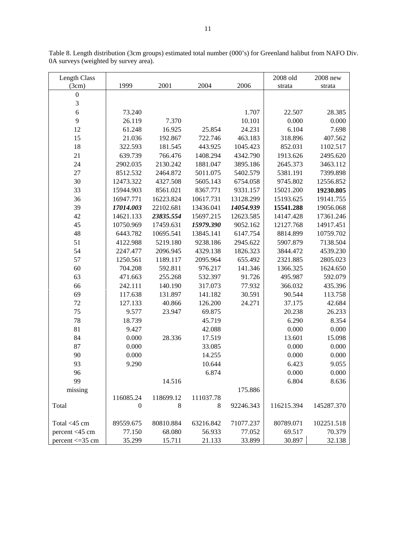| Length Class     |              |           |           |           | 2008 old   | 2008 new   |
|------------------|--------------|-----------|-----------|-----------|------------|------------|
| (3cm)            | 1999         | 2001      | 2004      | 2006      | strata     | strata     |
| $\boldsymbol{0}$ |              |           |           |           |            |            |
| 3                |              |           |           |           |            |            |
| $\overline{6}$   | 73.240       |           |           | 1.707     | 22.507     | 28.385     |
| 9                | 26.119       | 7.370     |           | 10.101    | 0.000      | 0.000      |
| 12               | 61.248       | 16.925    | 25.854    | 24.231    | 6.104      | 7.698      |
| 15               | 21.036       | 192.867   | 722.746   | 463.183   | 318.896    | 407.562    |
| 18               | 322.593      | 181.545   | 443.925   | 1045.423  | 852.031    | 1102.517   |
| 21               | 639.739      | 766.476   | 1408.294  | 4342.790  | 1913.626   | 2495.620   |
| 24               | 2902.035     | 2130.242  | 1881.047  | 3895.186  | 2645.373   | 3463.112   |
| 27               | 8512.532     | 2464.872  | 5011.075  | 5402.579  | 5381.191   | 7399.898   |
| 30               | 12473.322    | 4327.508  | 5605.143  | 6754.058  | 9745.802   | 12556.852  |
| 33               | 15944.903    | 8561.021  | 8367.771  | 9331.157  | 15021.200  | 19230.805  |
| 36               | 16947.771    | 16223.824 | 10617.731 | 13128.299 | 15193.625  | 19141.755  |
| 39               | 17014.003    | 22102.681 | 13436.041 | 14054.939 | 15541.288  | 19056.068  |
| 42               | 14621.133    | 23835.554 | 15697.215 | 12623.585 | 14147.428  | 17361.246  |
| 45               | 10750.969    | 17459.631 | 15979.390 | 9052.162  | 12127.768  | 14917.451  |
| 48               | 6443.782     | 10695.541 | 13845.141 | 6147.754  | 8814.899   | 10759.702  |
| 51               | 4122.988     | 5219.180  | 9238.186  | 2945.622  | 5907.879   | 7138.504   |
| 54               | 2247.477     | 2096.945  | 4329.138  | 1826.323  | 3844.472   | 4539.230   |
| 57               | 1250.561     | 1189.117  | 2095.964  | 655.492   | 2321.885   | 2805.023   |
| 60               | 704.208      | 592.811   | 976.217   | 141.346   | 1366.325   | 1624.650   |
| 63               | 471.663      | 255.268   | 532.397   | 91.726    | 495.987    | 592.079    |
| 66               | 242.111      | 140.190   | 317.073   | 77.932    | 366.032    | 435.396    |
| 69               | 117.638      | 131.897   | 141.182   | 30.591    | 90.544     | 113.758    |
| 72               | 127.133      | 40.866    | 126.200   | 24.271    | 37.175     | 42.684     |
| 75               | 9.577        | 23.947    | 69.875    |           | 20.238     | 26.233     |
| 78               | 18.739       |           | 45.719    |           | 6.290      | 8.354      |
| 81               | 9.427        |           | 42.088    |           | 0.000      | 0.000      |
| 84               | 0.000        | 28.336    | 17.519    |           | 13.601     | 15.098     |
| 87               | 0.000        |           | 33.085    |           | 0.000      | 0.000      |
| 90               | 0.000        |           | 14.255    |           | 0.000      | 0.000      |
| 93               | 9.290        |           | 10.644    |           | 6.423      | 9.055      |
| 96               |              |           | 6.874     |           | 0.000      | 0.000      |
| 99               |              | 14.516    |           |           | 6.804      | 8.636      |
| missing          |              |           |           | 175.886   |            |            |
|                  | 116085.24    | 118699.12 | 111037.78 |           |            |            |
| Total            | $\mathbf{0}$ | 8         | 8         | 92246.343 | 116215.394 | 145287.370 |
| Total <45 cm     | 89559.675    | 80810.884 | 63216.842 | 71077.237 | 80789.071  | 102251.518 |
| percent <45 cm   | 77.150       | 68.080    | 56.933    | 77.052    | 69.517     | 70.379     |
| percent < 35 cm  | 35.299       | 15.711    | 21.133    | 33.899    | 30.897     | 32.138     |

Table 8. Length distribution (3cm groups) estimated total number (000's) for Greenland halibut from NAFO Div. 0A surveys (weighted by survey area).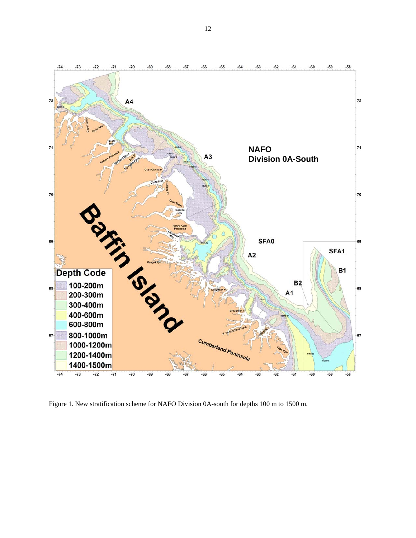

Figure 1. New stratification scheme for NAFO Division 0A-south for depths 100 m to 1500 m.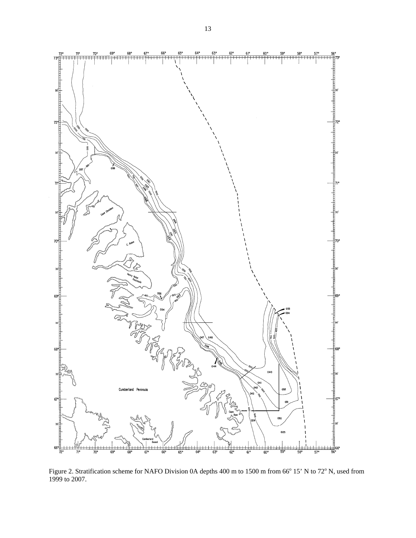

Figure 2. Stratification scheme for NAFO Division 0A depths 400 m to 1500 m from 66° 15' N to 72° N, used from 1999 to 2007.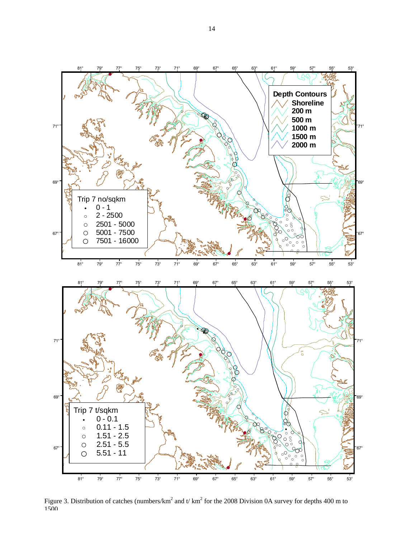

Figure 3. Distribution of catches (numbers/km<sup>2</sup> and t/ km<sup>2</sup> for the 2008 Division 0A survey for depths 400 m to 1500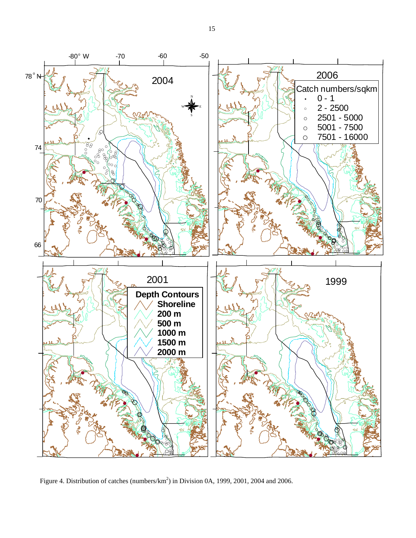

Figure 4. Distribution of catches (numbers/ $km^2$ ) in Division 0A, 1999, 2001, 2004 and 2006.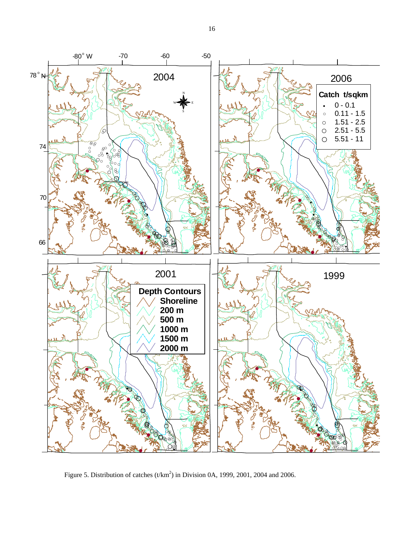

Figure 5. Distribution of catches  $(t/km^2)$  in Division 0A, 1999, 2001, 2004 and 2006.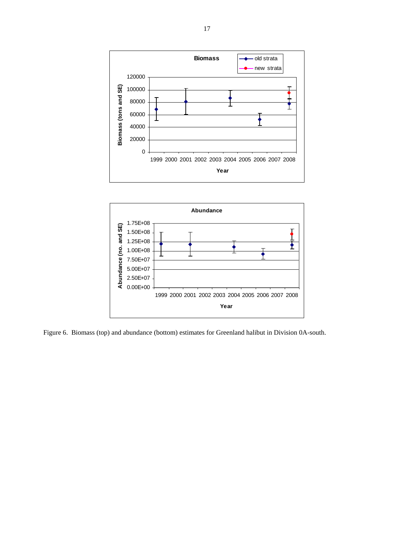![](_page_16_Figure_0.jpeg)

![](_page_16_Figure_1.jpeg)

Figure 6. Biomass (top) and abundance (bottom) estimates for Greenland halibut in Division 0A-south.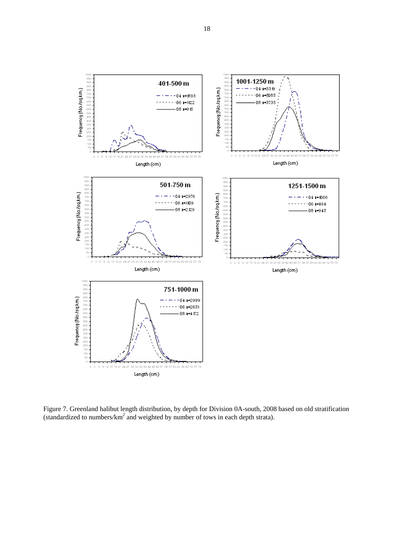![](_page_17_Figure_0.jpeg)

Figure 7. Greenland halibut length distribution, by depth for Division 0A-south, 2008 based on old stratification (standardized to numbers/ $km^2$  and weighted by number of tows in each depth strata).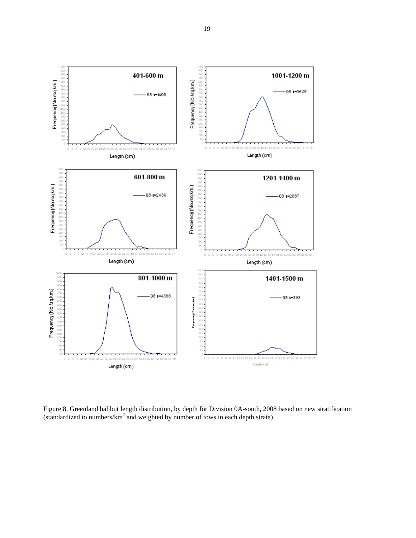![](_page_18_Figure_0.jpeg)

Figure 8. Greenland halibut length distribution, by depth for Division 0A-south, 2008 based on new stratification (standardized to numbers/ $km^2$  and weighted by number of tows in each depth strata).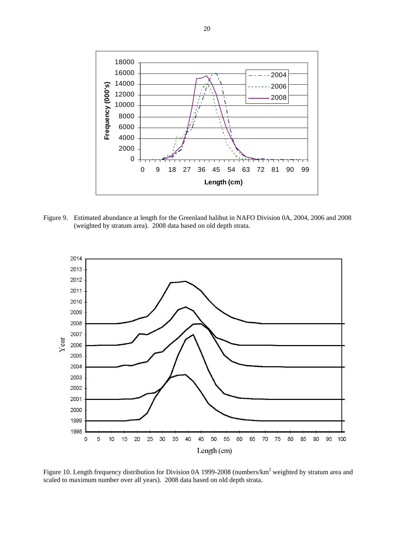![](_page_19_Figure_0.jpeg)

Figure 9. Estimated abundance at length for the Greenland halibut in NAFO Division 0A, 2004, 2006 and 2008 (weighted by stratum area). 2008 data based on old depth strata.

![](_page_19_Figure_2.jpeg)

Figure 10. Length frequency distribution for Division 0A 1999-2008 (numbers/ $km^2$  weighted by stratum area and scaled to maximum number over all years). 2008 data based on old depth strata.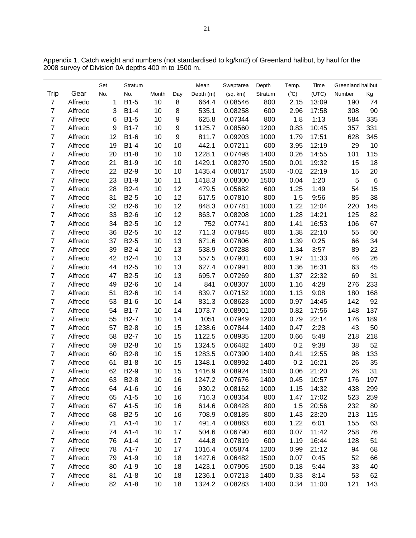|                         |         | Set | Stratum           |       |                  | Mean      | Sweptarea | Depth   | Temp.         | Time  | Greenland halibut |       |
|-------------------------|---------|-----|-------------------|-------|------------------|-----------|-----------|---------|---------------|-------|-------------------|-------|
| Trip                    | Gear    | No. | No.               | Month | Day              | Depth (m) | (sq. km)  | Stratum | $(C^{\circ})$ | (UTC) | Number            | Kg    |
| $\overline{7}$          | Alfredo | 1   | B1-5              | 10    | 8                | 664.4     | 0.08546   | 800     | 2.15          | 13:09 | 190               | 74    |
| $\overline{7}$          | Alfredo | 3   | $B1-4$            | 10    | 8                | 535.1     | 0.08258   | 600     | 2.96          | 17:58 | 308               | 90    |
| $\overline{7}$          | Alfredo | 6   | $B1-5$            | 10    | 9                | 625.8     | 0.07344   | 800     | 1.8           | 1:13  | 584               | 335   |
| $\overline{7}$          | Alfredo | 9   | <b>B1-7</b>       | 10    | $\boldsymbol{9}$ | 1125.7    | 0.08560   | 1200    | 0.83          | 10:45 | 357               | 331   |
| $\overline{7}$          | Alfredo | 12  | $B1-6$            | 10    | 9                | 811.7     | 0.09203   | 1000    | 1.79          | 17:51 | 628               | 345   |
| $\overline{7}$          | Alfredo | 19  | $B1-4$            | 10    | 10               | 442.1     | 0.07211   | 600     | 3.95          | 12:19 | 29                | 10    |
| $\overline{7}$          | Alfredo | 20  | <b>B1-8</b>       | 10    | 10               | 1228.1    | 0.07498   | 1400    | 0.26          | 14:55 | 101               | 115   |
| $\overline{7}$          | Alfredo | 21  | <b>B1-9</b>       | 10    | 10               | 1429.1    | 0.08270   | 1500    | 0.01          | 19:32 | 15                | 18    |
| $\overline{7}$          | Alfredo | 22  | B2-9              | 10    | 10               | 1435.4    | 0.08017   | 1500    | $-0.02$       | 22:19 | 15                | 20    |
| $\overline{7}$          | Alfredo | 23  | B1-9              | 10    | 11               | 1418.3    | 0.08300   | 1500    | 0.04          | 1:20  | 5                 | $\,6$ |
| $\overline{7}$          | Alfredo | 28  | $B2-4$            | 10    | 12               | 479.5     | 0.05682   | 600     | 1.25          | 1:49  | 54                | 15    |
| $\overline{7}$          | Alfredo | 31  | B2-5              | 10    | 12               | 617.5     | 0.07810   | 800     | 1.5           | 9:56  | 85                | 38    |
| $\overline{\mathbf{7}}$ | Alfredo | 32  | B2-6              | 10    | 12               | 848.3     | 0.07781   | 1000    | 1.22          | 12:04 | 220               | 145   |
| $\overline{7}$          | Alfredo | 33  | B2-6              | 10    | 12               | 863.7     | 0.08208   | 1000    | 1.28          | 14:21 | 125               | 82    |
| $\overline{7}$          | Alfredo | 34  | B <sub>2</sub> -5 | 10    | 12               | 752       | 0.07741   | 800     | 1.41          | 16:53 | 106               | 67    |
| $\overline{7}$          | Alfredo | 36  | B2-5              | 10    | 12               | 711.3     | 0.07845   | 800     | 1.38          | 22:10 | 55                | 50    |
| $\overline{7}$          | Alfredo | 37  | B <sub>2</sub> -5 | 10    | 13               | 671.6     | 0.07806   | 800     | 1.39          | 0:25  | 66                | 34    |
| $\overline{7}$          | Alfredo | 39  | $B2-4$            | 10    | 13               | 538.9     | 0.07288   | 600     | 1.34          | 3:57  | 89                | 22    |
| $\overline{7}$          | Alfredo | 42  | $B2-4$            | 10    | 13               | 557.5     | 0.07901   | 600     | 1.97          | 11:33 | 46                | 26    |
| $\overline{7}$          | Alfredo | 44  | B <sub>2</sub> -5 | 10    | 13               | 627.4     | 0.07991   | 800     | 1.36          | 16:31 | 63                | 45    |
| $\overline{7}$          | Alfredo | 47  | B <sub>2</sub> -5 | 10    | 13               | 695.7     | 0.07269   | 800     | 1.37          | 22:32 | 69                | 31    |
| $\overline{7}$          | Alfredo | 49  | B2-6              | 10    | 14               | 841       | 0.08307   | 1000    | 1.16          | 4:28  | 276               | 233   |
| $\overline{7}$          | Alfredo | 51  | B2-6              | 10    | 14               | 839.7     | 0.07152   | 1000    | 1.13          | 9:08  | 180               | 168   |
| $\overline{7}$          | Alfredo | 53  | B1-6              | 10    | 14               | 831.3     | 0.08623   | 1000    | 0.97          | 14:45 | 142               | 92    |
| $\overline{7}$          | Alfredo | 54  | <b>B1-7</b>       | 10    | 14               | 1073.7    | 0.08901   | 1200    | 0.82          | 17:56 | 148               | 137   |
| $\overline{7}$          | Alfredo | 55  | <b>B2-7</b>       | 10    | 14               | 1051      | 0.07949   | 1200    | 0.79          | 22:14 | 176               | 189   |
| $\overline{7}$          | Alfredo | 57  | <b>B2-8</b>       | 10    | 15               | 1238.6    | 0.07844   | 1400    | 0.47          | 2:28  | 43                | 50    |
| $\overline{7}$          | Alfredo | 58  | <b>B2-7</b>       | 10    | 15               | 1122.5    | 0.08935   | 1200    | 0.66          | 5:48  | 218               | 218   |
| $\overline{\mathbf{7}}$ | Alfredo | 59  | <b>B2-8</b>       | 10    | 15               | 1324.5    | 0.06482   | 1400    | 0.2           | 9:38  | 38                | 52    |
| $\overline{7}$          | Alfredo | 60  | <b>B2-8</b>       | 10    | 15               | 1283.5    | 0.07390   | 1400    | 0.41          | 12:55 | 98                | 133   |
| $\overline{7}$          | Alfredo | 61  | <b>B1-8</b>       | 10    | 15               | 1348.1    | 0.08992   | 1400    | 0.2           | 16:21 | 26                | 35    |
| $\overline{7}$          | Alfredo | 62  | B2-9              | 10    | 15               | 1416.9    | 0.08924   | 1500    | 0.06          | 21:20 | 26                | 31    |
| $\overline{7}$          | Alfredo | 63  | <b>B2-8</b>       | 10    | 16               | 1247.2    | 0.07676   | 1400    | 0.45          | 10:57 | 176               | 197   |
| 7                       | Alfredo | 64  | $A1-6$            | 10    | 16               | 930.2     | 0.08162   | 1000    | 1.15          | 14:32 | 438               | 299   |
| $\overline{7}$          | Alfredo | 65  | $A1-5$            | 10    | 16               | 716.3     | 0.08354   | 800     | 1.47          | 17:02 | 523               | 259   |
| $\overline{\mathbf{7}}$ | Alfredo | 67  | $A1-5$            | 10    | 16               | 614.6     | 0.08428   | 800     | 1.5           | 20:56 | 232               | 80    |
| $\overline{\mathbf{7}}$ | Alfredo | 68  | B <sub>2</sub> -5 | 10    | 16               | 708.9     | 0.08185   | 800     | 1.43          | 23:20 | 213               | 115   |
| $\overline{\mathbf{7}}$ | Alfredo | 71  | $A1-4$            | 10    | 17               | 491.4     | 0.08863   | 600     | 1.22          | 6:01  | 155               | 63    |
| $\boldsymbol{7}$        | Alfredo | 74  | $A1-4$            | 10    | 17               | 504.6     | 0.06790   | 600     | 0.07          | 11:42 | 258               | 76    |
| $\overline{7}$          | Alfredo | 76  | $A1-4$            | 10    | 17               | 444.8     | 0.07819   | 600     | 1.19          | 16:44 | 128               | 51    |
| $\overline{7}$          | Alfredo | 78  | $A1-7$            | 10    | 17               | 1016.4    | 0.05874   | 1200    | 0.99          | 21:12 | 94                | 68    |
| $\boldsymbol{7}$        | Alfredo | 79  | $A1-9$            | 10    | 18               | 1427.6    | 0.06482   | 1500    | 0.07          | 0:45  | 52                | 66    |
| $\overline{7}$          | Alfredo | 80  | $A1-9$            | 10    | 18               | 1423.1    | 0.07905   | 1500    | 0.18          | 5:44  | 33                | 40    |
| $\overline{\mathbf{7}}$ | Alfredo | 81  | $A1-8$            | 10    | 18               | 1236.1    | 0.07213   | 1400    | 0.33          | 8:14  | 53                | 62    |
| $\overline{7}$          | Alfredo | 82  | $A1-8$            | 10    | 18               | 1324.2    | 0.08283   | 1400    | 0.34          | 11:00 | 121               | 143   |

Appendix 1. Catch weight and numbers (not standardised to kg/km2) of Greenland halibut, by haul for the 2008 survey of Division 0A depths 400 m to 1500 m.